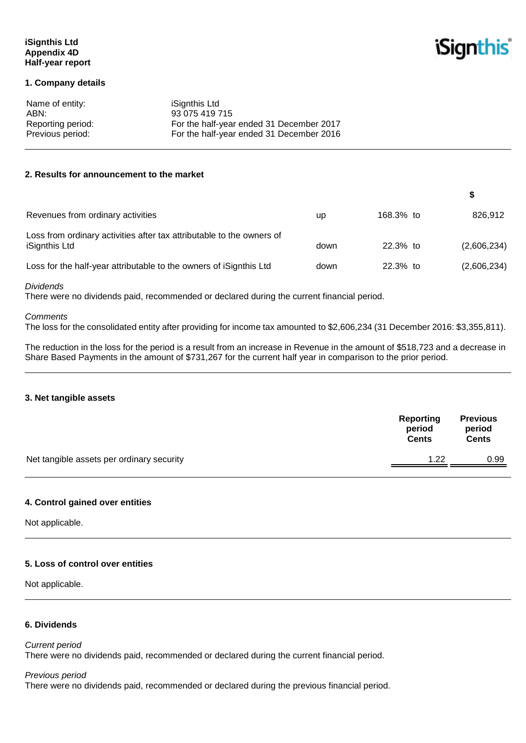### **iSignthis Ltd Appendix 4D Half-year report**

**iSignthis** 

#### **1. Company details**

| Name of entity:   | iSignthis Ltd                            |
|-------------------|------------------------------------------|
| ABN:              | 93 075 419 715                           |
| Reporting period: | For the half-year ended 31 December 2017 |
| Previous period:  | For the half-year ended 31 December 2016 |

#### **2. Results for announcement to the market**

| Revenues from ordinary activities                                                      | up   | 168.3% to  | 826,912     |
|----------------------------------------------------------------------------------------|------|------------|-------------|
| Loss from ordinary activities after tax attributable to the owners of<br>iSignthis Ltd | down | $22.3%$ to | (2,606,234) |
| Loss for the half-year attributable to the owners of iSignthis Ltd                     | down | $22.3%$ to | (2,606,234) |

*Dividends*

There were no dividends paid, recommended or declared during the current financial period.

#### *Comments*

The loss for the consolidated entity after providing for income tax amounted to \$2,606,234 (31 December 2016: \$3,355,811).

The reduction in the loss for the period is a result from an increase in Revenue in the amount of \$518,723 and a decrease in Share Based Payments in the amount of \$731,267 for the current half year in comparison to the prior period.

#### **3. Net tangible assets**

|                                           | Reporting<br>period<br><b>Cents</b> | <b>Previous</b><br>period<br><b>Cents</b> |
|-------------------------------------------|-------------------------------------|-------------------------------------------|
| Net tangible assets per ordinary security | 1.22                                | 0.99                                      |
|                                           |                                     |                                           |

#### **4. Control gained over entities**

Not applicable.

#### **5. Loss of control over entities**

Not applicable.

# **6. Dividends**

*Current period* There were no dividends paid, recommended or declared during the current financial period.

#### *Previous period*

There were no dividends paid, recommended or declared during the previous financial period.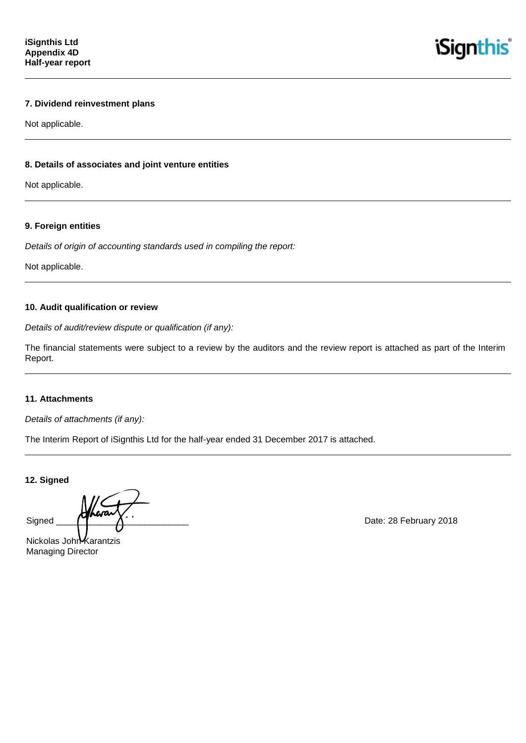**iSignthis** 

# **7. Dividend reinvestment plans**

Not applicable.

### **8. Details of associates and joint venture entities**

Not applicable.

#### **9. Foreign entities**

*Details of origin of accounting standards used in compiling the report:*

Not applicable.

#### **10. Audit qualification or review**

*Details of audit/review dispute or qualification (if any):*

The financial statements were subject to a review by the auditors and the review report is attached as part of the Interim Report.

#### **11. Attachments**

*Details of attachments (if any):*

The Interim Report of iSignthis Ltd for the half-year ended 31 December 2017 is attached.

**12. Signed**

Signed  $\overline{A}$   $\overline{A}$  Date: 28 February 2018

Nickolas John Karantzis Managing Director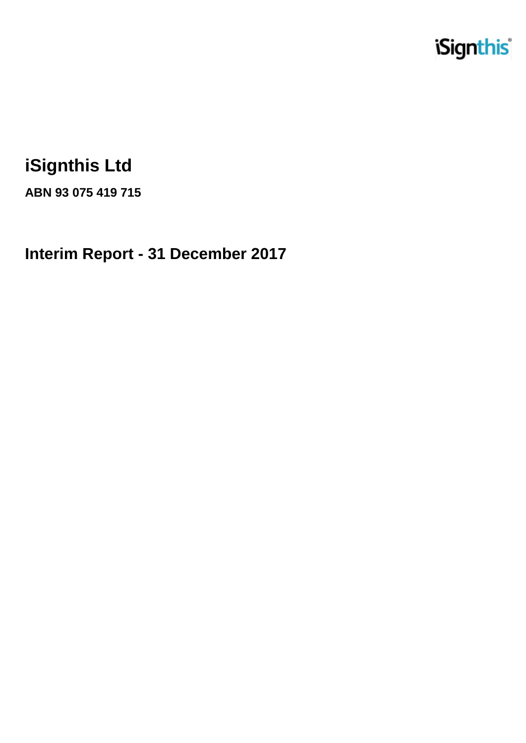

# **iSignthis Ltd**

**ABN 93 075 419 715**

**Interim Report - 31 December 2017**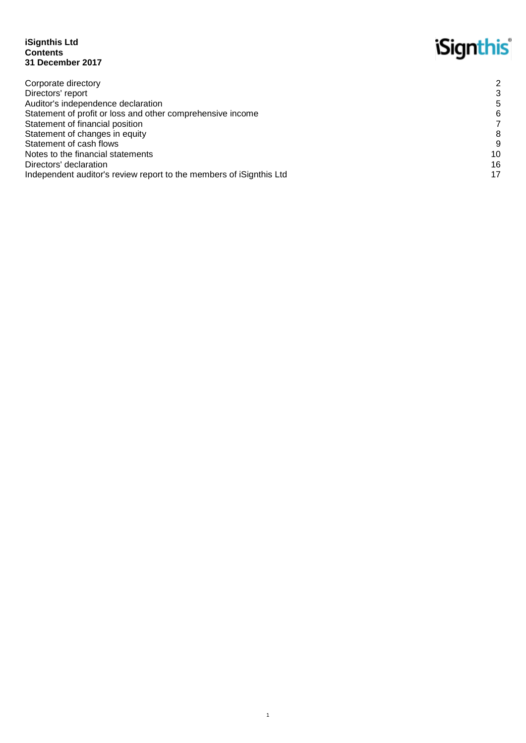#### **iSignthis Ltd Contents 31 December 2017**

# **iSignthis**

| Corporate directory                                                 | 2  |
|---------------------------------------------------------------------|----|
| Directors' report                                                   |    |
| Auditor's independence declaration                                  | 5  |
| Statement of profit or loss and other comprehensive income          | 6  |
| Statement of financial position                                     |    |
| Statement of changes in equity                                      | 8  |
| Statement of cash flows                                             | 9  |
| Notes to the financial statements                                   | 10 |
| Directors' declaration                                              | 16 |
| Independent auditor's review report to the members of iSignthis Ltd | 17 |
|                                                                     |    |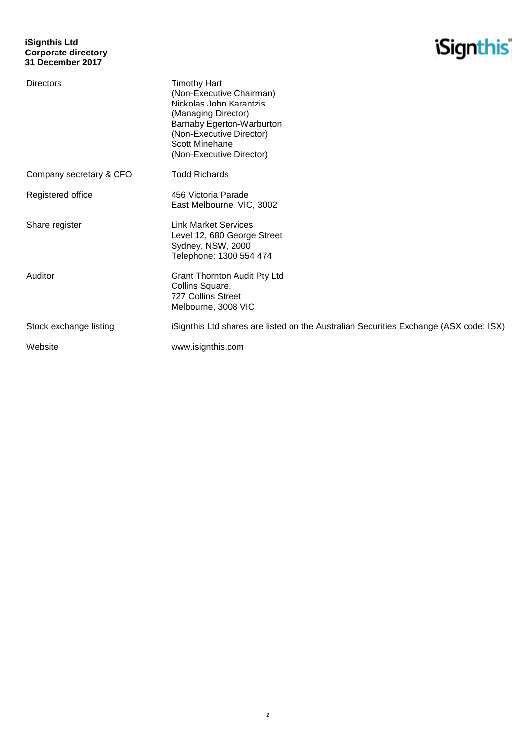

| <b>Directors</b>        | <b>Timothy Hart</b><br>(Non-Executive Chairman)<br>Nickolas John Karantzis<br>(Managing Director)<br>Barnaby Egerton-Warburton<br>(Non-Executive Director)<br><b>Scott Minehane</b><br>(Non-Executive Director) |
|-------------------------|-----------------------------------------------------------------------------------------------------------------------------------------------------------------------------------------------------------------|
| Company secretary & CFO | <b>Todd Richards</b>                                                                                                                                                                                            |
| Registered office       | 456 Victoria Parade<br>East Melbourne, VIC, 3002                                                                                                                                                                |
| Share register          | <b>Link Market Services</b><br>Level 12, 680 George Street<br>Sydney, NSW, 2000<br>Telephone: 1300 554 474                                                                                                      |
| Auditor                 | <b>Grant Thornton Audit Pty Ltd</b><br>Collins Square,<br>727 Collins Street<br>Melbourne, 3008 VIC                                                                                                             |
| Stock exchange listing  | iSignthis Ltd shares are listed on the Australian Securities Exchange (ASX code: ISX)                                                                                                                           |
| Website                 | www.isignthis.com                                                                                                                                                                                               |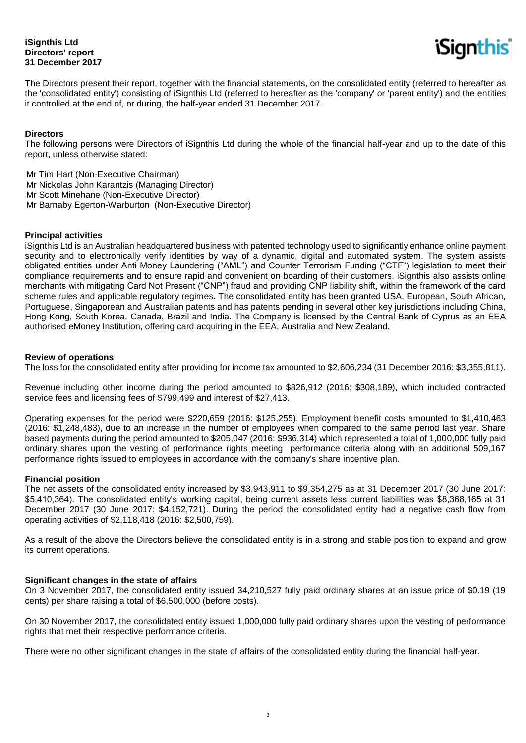### **iSignthis Ltd Directors' report 31 December 2017**



The Directors present their report, together with the financial statements, on the consolidated entity (referred to hereafter as the 'consolidated entity') consisting of iSignthis Ltd (referred to hereafter as the 'company' or 'parent entity') and the entities it controlled at the end of, or during, the half-year ended 31 December 2017.

#### **Directors**

The following persons were Directors of iSignthis Ltd during the whole of the financial half-year and up to the date of this report, unless otherwise stated:

Mr Tim Hart (Non-Executive Chairman) Mr Nickolas John Karantzis (Managing Director) Mr Scott Minehane (Non-Executive Director) Mr Barnaby Egerton-Warburton (Non-Executive Director)

#### **Principal activities**

iSignthis Ltd is an Australian headquartered business with patented technology used to significantly enhance online payment security and to electronically verify identities by way of a dynamic, digital and automated system. The system assists obligated entities under Anti Money Laundering ("AML") and Counter Terrorism Funding ("CTF") legislation to meet their compliance requirements and to ensure rapid and convenient on boarding of their customers. iSignthis also assists online merchants with mitigating Card Not Present ("CNP") fraud and providing CNP liability shift, within the framework of the card scheme rules and applicable regulatory regimes. The consolidated entity has been granted USA, European, South African, Portuguese, Singaporean and Australian patents and has patents pending in several other key jurisdictions including China, Hong Kong, South Korea, Canada, Brazil and India. The Company is licensed by the Central Bank of Cyprus as an EEA authorised eMoney Institution, offering card acquiring in the EEA, Australia and New Zealand.

#### **Review of operations**

The loss for the consolidated entity after providing for income tax amounted to \$2,606,234 (31 December 2016: \$3,355,811).

Revenue including other income during the period amounted to \$826,912 (2016: \$308,189), which included contracted service fees and licensing fees of \$799,499 and interest of \$27,413.

Operating expenses for the period were \$220,659 (2016: \$125,255). Employment benefit costs amounted to \$1,410,463 (2016: \$1,248,483), due to an increase in the number of employees when compared to the same period last year. Share based payments during the period amounted to \$205,047 (2016: \$936,314) which represented a total of 1,000,000 fully paid ordinary shares upon the vesting of performance rights meeting performance criteria along with an additional 509,167 performance rights issued to employees in accordance with the company's share incentive plan.

#### **Financial position**

The net assets of the consolidated entity increased by \$3,943,911 to \$9,354,275 as at 31 December 2017 (30 June 2017: \$5,410,364). The consolidated entity's working capital, being current assets less current liabilities was \$8,368,165 at 31 December 2017 (30 June 2017: \$4,152,721). During the period the consolidated entity had a negative cash flow from operating activities of \$2,118,418 (2016: \$2,500,759).

As a result of the above the Directors believe the consolidated entity is in a strong and stable position to expand and grow its current operations.

#### **Significant changes in the state of affairs**

On 3 November 2017, the consolidated entity issued 34,210,527 fully paid ordinary shares at an issue price of \$0.19 (19 cents) per share raising a total of \$6,500,000 (before costs).

On 30 November 2017, the consolidated entity issued 1,000,000 fully paid ordinary shares upon the vesting of performance rights that met their respective performance criteria.

There were no other significant changes in the state of affairs of the consolidated entity during the financial half-year.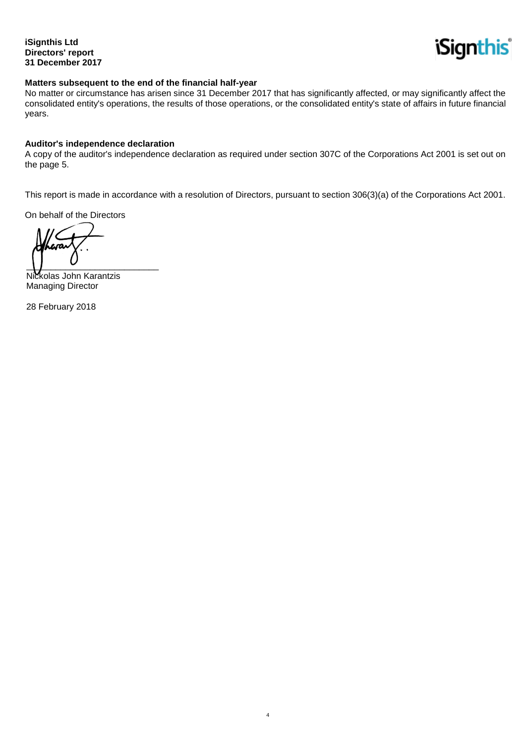**iSignthis Ltd Directors' report 31 December 2017**



#### **Matters subsequent to the end of the financial half-year**

No matter or circumstance has arisen since 31 December 2017 that has significantly affected, or may significantly affect the consolidated entity's operations, the results of those operations, or the consolidated entity's state of affairs in future financial years.

#### **Auditor's independence declaration**

A copy of the auditor's independence declaration as required under section 307C of the Corporations Act 2001 is set out on the page 5.

This report is made in accordance with a resolution of Directors, pursuant to section 306(3)(a) of the Corporations Act 2001.

 4

On behalf of the Directors

 $\overline{\phantom{a}}$ 

Nickolas John Karantzis Managing Director

28 February 2018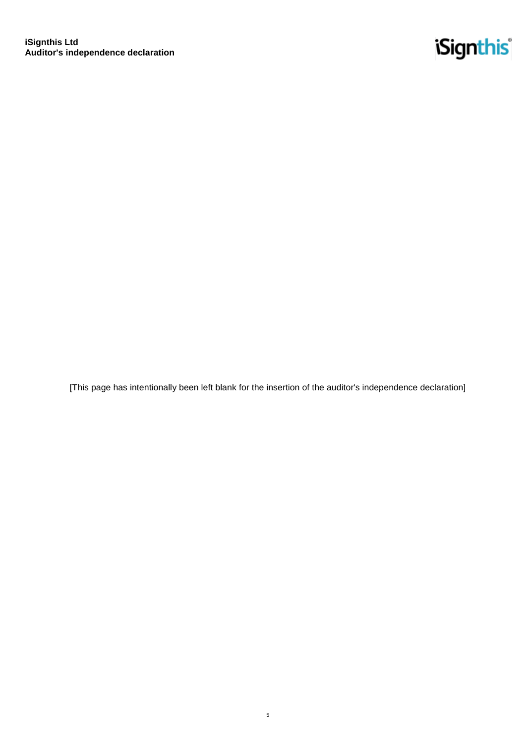

[This page has intentionally been left blank for the insertion of the auditor's independence declaration]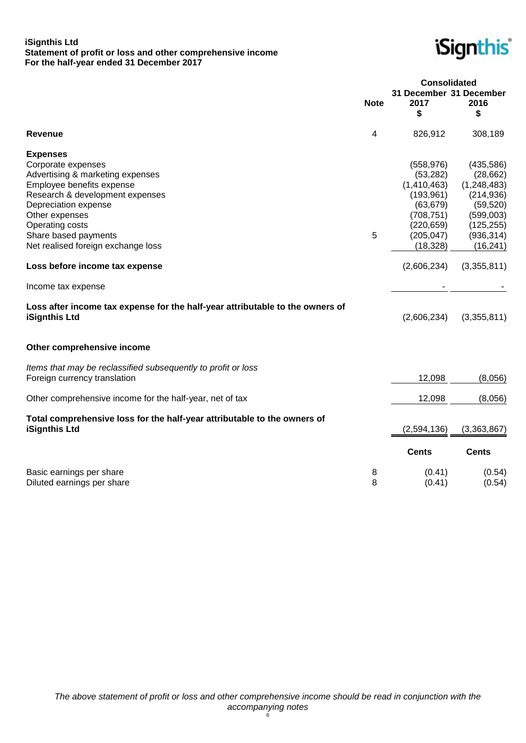#### **iSignthis Ltd Statement of profit or loss and other comprehensive income For the half-year ended 31 December 2017**



|                                                                                                                                                                                                                                |             | <b>Consolidated</b>                                                                                         |                                                                                                             |
|--------------------------------------------------------------------------------------------------------------------------------------------------------------------------------------------------------------------------------|-------------|-------------------------------------------------------------------------------------------------------------|-------------------------------------------------------------------------------------------------------------|
|                                                                                                                                                                                                                                | <b>Note</b> | 31 December 31 December<br>2017                                                                             | 2016                                                                                                        |
|                                                                                                                                                                                                                                |             | \$                                                                                                          | \$                                                                                                          |
| Revenue                                                                                                                                                                                                                        | 4           | 826,912                                                                                                     | 308,189                                                                                                     |
| <b>Expenses</b><br>Corporate expenses<br>Advertising & marketing expenses<br>Employee benefits expense<br>Research & development expenses<br>Depreciation expense<br>Other expenses<br>Operating costs<br>Share based payments | 5           | (558, 976)<br>(53, 282)<br>(1,410,463)<br>(193, 961)<br>(63, 679)<br>(708, 751)<br>(220, 659)<br>(205, 047) | (435,586)<br>(28, 662)<br>(1, 248, 483)<br>(214, 936)<br>(59, 520)<br>(599,003)<br>(125, 255)<br>(936, 314) |
| Net realised foreign exchange loss                                                                                                                                                                                             |             | (18, 328)                                                                                                   | (16, 241)                                                                                                   |
| Loss before income tax expense                                                                                                                                                                                                 |             | (2,606,234)                                                                                                 | (3,355,811)                                                                                                 |
| Income tax expense                                                                                                                                                                                                             |             |                                                                                                             |                                                                                                             |
| Loss after income tax expense for the half-year attributable to the owners of<br><b>iSignthis Ltd</b>                                                                                                                          |             | (2,606,234)                                                                                                 | (3,355,811)                                                                                                 |
| Other comprehensive income                                                                                                                                                                                                     |             |                                                                                                             |                                                                                                             |
| Items that may be reclassified subsequently to profit or loss<br>Foreign currency translation                                                                                                                                  |             | 12,098                                                                                                      | (8,056)                                                                                                     |
| Other comprehensive income for the half-year, net of tax                                                                                                                                                                       |             | 12,098                                                                                                      | (8,056)                                                                                                     |
| Total comprehensive loss for the half-year attributable to the owners of<br>iSignthis Ltd                                                                                                                                      |             | (2,594,136)                                                                                                 | (3,363,867)                                                                                                 |
|                                                                                                                                                                                                                                |             | <b>Cents</b>                                                                                                | <b>Cents</b>                                                                                                |
| Basic earnings per share<br>Diluted earnings per share                                                                                                                                                                         | 8<br>8      | (0.41)<br>(0.41)                                                                                            | (0.54)<br>(0.54)                                                                                            |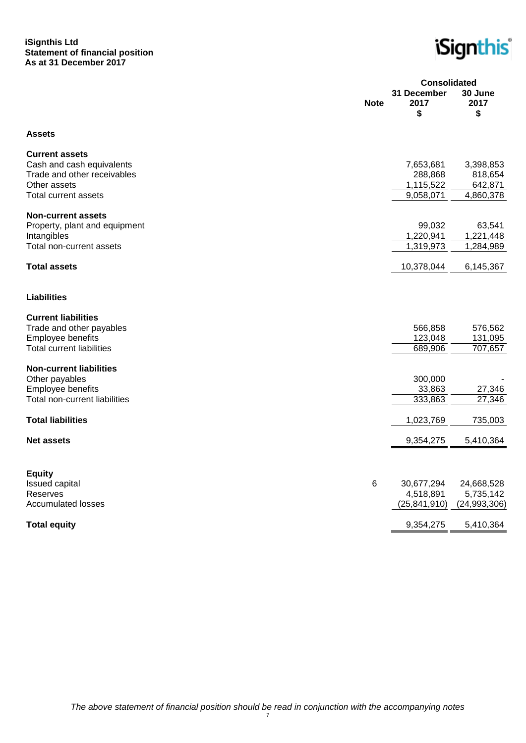#### **iSignthis Ltd Statement of financial position As at 31 December 2017**

**iSignthis** 

|                                                                                                                                  |             | <b>Consolidated</b>                            |                                              |
|----------------------------------------------------------------------------------------------------------------------------------|-------------|------------------------------------------------|----------------------------------------------|
|                                                                                                                                  | <b>Note</b> | 31 December<br>2017<br>\$                      | 30 June<br>2017<br>\$                        |
| <b>Assets</b>                                                                                                                    |             |                                                |                                              |
| <b>Current assets</b><br>Cash and cash equivalents<br>Trade and other receivables<br>Other assets<br><b>Total current assets</b> |             | 7,653,681<br>288,868<br>1,115,522<br>9,058,071 | 3,398,853<br>818,654<br>642,871<br>4,860,378 |
| <b>Non-current assets</b><br>Property, plant and equipment<br>Intangibles<br>Total non-current assets                            |             | 99,032<br>1,220,941<br>1,319,973               | 63,541<br>1,221,448<br>1,284,989             |
| <b>Total assets</b>                                                                                                              |             | 10,378,044                                     | 6,145,367                                    |
| <b>Liabilities</b>                                                                                                               |             |                                                |                                              |
| <b>Current liabilities</b><br>Trade and other payables<br>Employee benefits<br><b>Total current liabilities</b>                  |             | 566,858<br>123,048<br>689,906                  | 576,562<br>131,095<br>707,657                |
| <b>Non-current liabilities</b><br>Other payables<br>Employee benefits<br>Total non-current liabilities                           |             | 300,000<br>33,863<br>333,863                   | 27,346<br>27,346                             |
| <b>Total liabilities</b>                                                                                                         |             | 1,023,769                                      | 735,003                                      |
| <b>Net assets</b>                                                                                                                |             | 9,354,275                                      | 5,410,364                                    |
| <b>Equity</b><br><b>Issued capital</b><br>Reserves<br><b>Accumulated losses</b>                                                  | 6           | 30,677,294<br>4,518,891<br>(25, 841, 910)      | 24,668,528<br>5,735,142<br>(24,993,306)      |
| <b>Total equity</b>                                                                                                              |             | 9,354,275                                      | 5,410,364                                    |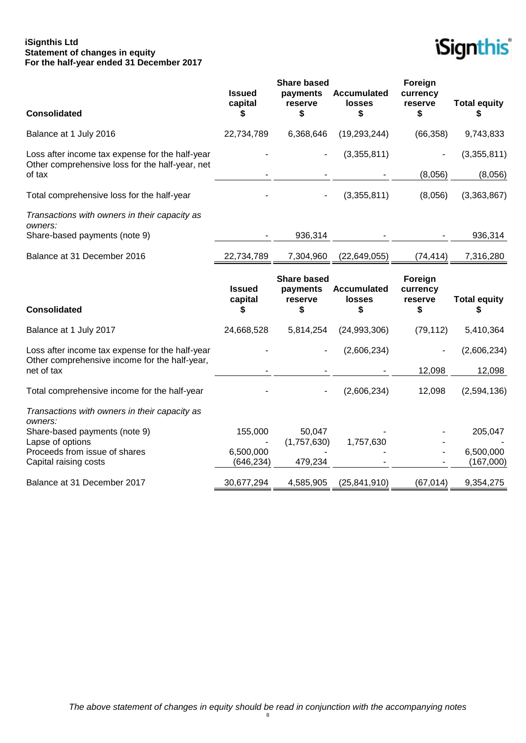#### **iSignthis Ltd Statement of changes in equity For the half-year ended 31 December 2017**



| <b>Consolidated</b>                                                                                | <b>Issued</b><br>capital<br>S  | <b>Share based</b><br>payments<br>reserve<br>\$ | <b>Accumulated</b><br><b>losses</b><br>\$ | Foreign<br>currency<br>reserve<br>\$ | <b>Total equity</b><br>S  |
|----------------------------------------------------------------------------------------------------|--------------------------------|-------------------------------------------------|-------------------------------------------|--------------------------------------|---------------------------|
| Balance at 1 July 2016                                                                             | 22,734,789                     | 6,368,646                                       | (19, 293, 244)                            | (66, 358)                            | 9,743,833                 |
| Loss after income tax expense for the half-year<br>Other comprehensive loss for the half-year, net |                                |                                                 | (3,355,811)                               |                                      | (3,355,811)               |
| of tax                                                                                             |                                |                                                 |                                           | (8,056)                              | (8,056)                   |
| Total comprehensive loss for the half-year                                                         |                                |                                                 | (3,355,811)                               | (8,056)                              | (3,363,867)               |
| Transactions with owners in their capacity as<br>owners:                                           |                                |                                                 |                                           |                                      |                           |
| Share-based payments (note 9)                                                                      |                                | 936,314                                         |                                           |                                      | 936,314                   |
| Balance at 31 December 2016                                                                        | 22,734,789                     | 7,304,960                                       | (22, 649, 055)                            | (74, 414)                            | 7,316,280                 |
| <b>Consolidated</b>                                                                                | <b>Issued</b><br>capital<br>\$ | <b>Share based</b><br>payments<br>reserve<br>\$ | <b>Accumulated</b><br>losses<br>\$        | Foreign<br>currency<br>reserve<br>\$ | <b>Total equity</b><br>\$ |
| Balance at 1 July 2017                                                                             | 24,668,528                     | 5,814,254                                       | (24,993,306)                              | (79, 112)                            | 5,410,364                 |
| Loss after income tax expense for the half-year<br>Other comprehensive income for the half-year,   |                                |                                                 | (2,606,234)                               |                                      | (2,606,234)               |
| net of tax                                                                                         |                                |                                                 |                                           | 12,098                               | 12,098                    |
| Total comprehensive income for the half-year                                                       |                                |                                                 | (2,606,234)                               | 12,098                               | (2,594,136)               |
| Transactions with owners in their capacity as<br>owners:                                           |                                |                                                 |                                           |                                      |                           |
| Share-based payments (note 9)                                                                      | 155,000                        | 50,047                                          |                                           |                                      | 205,047                   |
| Lapse of options                                                                                   |                                | (1,757,630)                                     | 1,757,630                                 |                                      |                           |
| Proceeds from issue of shares<br>Capital raising costs                                             | 6,500,000<br>(646, 234)        | 479,234                                         |                                           |                                      | 6,500,000<br>(167,000)    |
| Balance at 31 December 2017                                                                        | 30,677,294                     | 4,585,905                                       | (25, 841, 910)                            | (67, 014)                            | 9,354,275                 |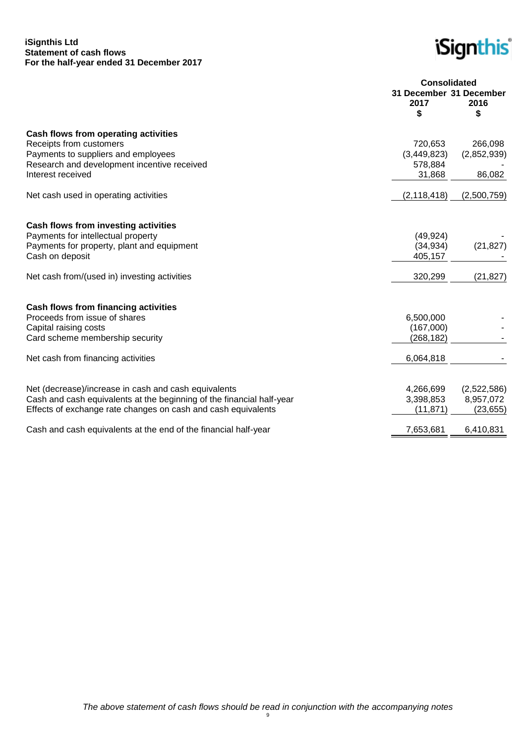#### **iSignthis Ltd Statement of cash flows For the half-year ended 31 December 2017**

**iSignthis** 

|                                                                       | <b>Consolidated</b>             |             |
|-----------------------------------------------------------------------|---------------------------------|-------------|
|                                                                       | 31 December 31 December<br>2017 | 2016        |
|                                                                       | \$                              | \$          |
| Cash flows from operating activities                                  |                                 |             |
| Receipts from customers                                               | 720,653                         | 266,098     |
| Payments to suppliers and employees                                   | (3,449,823)                     | (2,852,939) |
| Research and development incentive received                           | 578,884                         |             |
| Interest received                                                     | 31,868                          | 86,082      |
| Net cash used in operating activities                                 | (2, 118, 418)                   | (2,500,759) |
|                                                                       |                                 |             |
| Cash flows from investing activities                                  |                                 |             |
| Payments for intellectual property                                    | (49, 924)                       |             |
| Payments for property, plant and equipment                            | (34, 934)                       | (21, 827)   |
| Cash on deposit                                                       | 405,157                         |             |
| Net cash from/(used in) investing activities                          | 320,299                         | (21, 827)   |
|                                                                       |                                 |             |
| <b>Cash flows from financing activities</b>                           |                                 |             |
| Proceeds from issue of shares                                         | 6,500,000                       |             |
| Capital raising costs                                                 | (167,000)                       |             |
| Card scheme membership security                                       | (268, 182)                      |             |
| Net cash from financing activities                                    | 6,064,818                       |             |
|                                                                       |                                 |             |
| Net (decrease)/increase in cash and cash equivalents                  | 4,266,699                       | (2,522,586) |
| Cash and cash equivalents at the beginning of the financial half-year | 3,398,853                       | 8,957,072   |
| Effects of exchange rate changes on cash and cash equivalents         | (11, 871)                       | (23, 655)   |
| Cash and cash equivalents at the end of the financial half-year       | 7,653,681                       | 6,410,831   |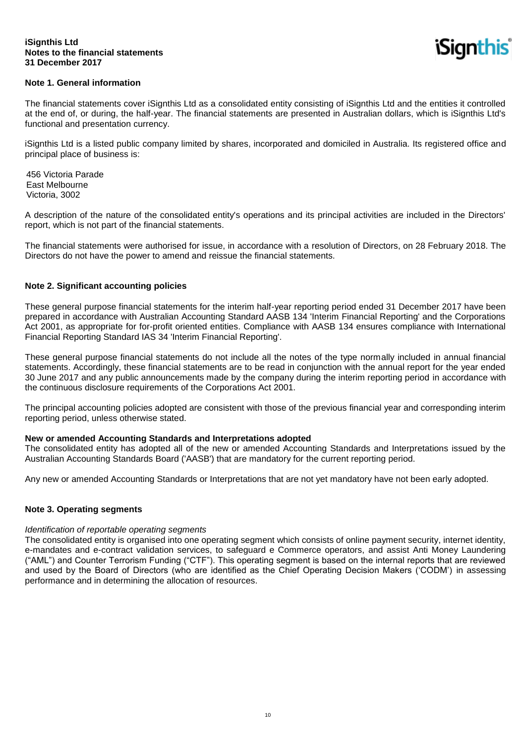*iSianthis* 

### **Note 1. General information**

The financial statements cover iSignthis Ltd as a consolidated entity consisting of iSignthis Ltd and the entities it controlled at the end of, or during, the half-year. The financial statements are presented in Australian dollars, which is iSignthis Ltd's functional and presentation currency.

iSignthis Ltd is a listed public company limited by shares, incorporated and domiciled in Australia. Its registered office and principal place of business is:

456 Victoria Parade East Melbourne Victoria, 3002

A description of the nature of the consolidated entity's operations and its principal activities are included in the Directors' report, which is not part of the financial statements.

The financial statements were authorised for issue, in accordance with a resolution of Directors, on 28 February 2018. The Directors do not have the power to amend and reissue the financial statements.

#### **Note 2. Significant accounting policies**

These general purpose financial statements for the interim half-year reporting period ended 31 December 2017 have been prepared in accordance with Australian Accounting Standard AASB 134 'Interim Financial Reporting' and the Corporations Act 2001, as appropriate for for-profit oriented entities. Compliance with AASB 134 ensures compliance with International Financial Reporting Standard IAS 34 'Interim Financial Reporting'.

These general purpose financial statements do not include all the notes of the type normally included in annual financial statements. Accordingly, these financial statements are to be read in conjunction with the annual report for the year ended 30 June 2017 and any public announcements made by the company during the interim reporting period in accordance with the continuous disclosure requirements of the Corporations Act 2001.

The principal accounting policies adopted are consistent with those of the previous financial year and corresponding interim reporting period, unless otherwise stated.

#### **New or amended Accounting Standards and Interpretations adopted**

The consolidated entity has adopted all of the new or amended Accounting Standards and Interpretations issued by the Australian Accounting Standards Board ('AASB') that are mandatory for the current reporting period.

Any new or amended Accounting Standards or Interpretations that are not yet mandatory have not been early adopted.

#### **Note 3. Operating segments**

#### *Identification of reportable operating segments*

The consolidated entity is organised into one operating segment which consists of online payment security, internet identity, e-mandates and e-contract validation services, to safeguard e Commerce operators, and assist Anti Money Laundering ("AML") and Counter Terrorism Funding ("CTF"). This operating segment is based on the internal reports that are reviewed and used by the Board of Directors (who are identified as the Chief Operating Decision Makers ('CODM') in assessing performance and in determining the allocation of resources.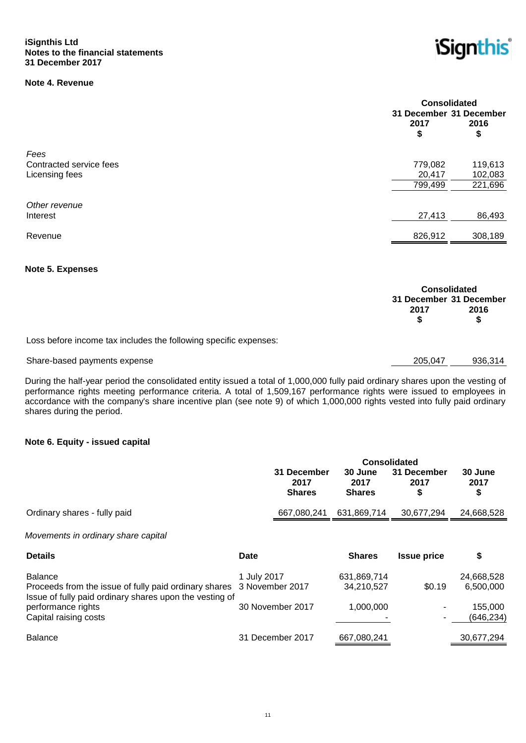# **Note 4. Revenue**



|                         | <b>Consolidated</b><br>31 December 31 December |            |  |
|-------------------------|------------------------------------------------|------------|--|
|                         | 2017<br>\$                                     | 2016<br>\$ |  |
| Fees                    |                                                |            |  |
| Contracted service fees | 779,082                                        | 119,613    |  |
| Licensing fees          | 20,417                                         | 102,083    |  |
|                         | 799,499                                        | 221,696    |  |
| Other revenue           |                                                |            |  |
| Interest                | 27,413                                         | 86,493     |  |
| Revenue                 | 826,912                                        | 308,189    |  |

#### **Note 5. Expenses**

|                                                                  | <b>Consolidated</b>             |      |
|------------------------------------------------------------------|---------------------------------|------|
|                                                                  | 31 December 31 December<br>2017 | 2016 |
| Loss before income tax includes the following specific expenses: |                                 |      |

# Share-based payments expense 205,047 936,314

During the half-year period the consolidated entity issued a total of 1,000,000 fully paid ordinary shares upon the vesting of performance rights meeting performance criteria. A total of 1,509,167 performance rights were issued to employees in accordance with the company's share incentive plan (see note 9) of which 1,000,000 rights vested into fully paid ordinary shares during the period.

#### **Note 6. Equity - issued capital**

|                                                                                                                                                                            |                                | <b>Consolidated</b>                  |                                        |                          |                                                  |
|----------------------------------------------------------------------------------------------------------------------------------------------------------------------------|--------------------------------|--------------------------------------|----------------------------------------|--------------------------|--------------------------------------------------|
|                                                                                                                                                                            |                                | 31 December<br>2017<br><b>Shares</b> | 30 June<br>2017<br><b>Shares</b>       | 31 December<br>2017<br>S | 30 June<br>2017<br>\$                            |
| Ordinary shares - fully paid                                                                                                                                               |                                | 667,080,241                          | 631,869,714                            | 30,677,294               | 24,668,528                                       |
| Movements in ordinary share capital                                                                                                                                        |                                |                                      |                                        |                          |                                                  |
| <b>Details</b>                                                                                                                                                             | Date                           |                                      | <b>Shares</b>                          | <b>Issue price</b>       | \$                                               |
| Balance<br>Proceeds from the issue of fully paid ordinary shares<br>Issue of fully paid ordinary shares upon the vesting of<br>performance rights<br>Capital raising costs | 1 July 2017<br>3 November 2017 | 30 November 2017                     | 631,869,714<br>34,210,527<br>1,000,000 | \$0.19                   | 24,668,528<br>6,500,000<br>155,000<br>(646, 234) |
| <b>Balance</b>                                                                                                                                                             |                                | 31 December 2017                     | 667,080,241                            |                          | 30,677,294                                       |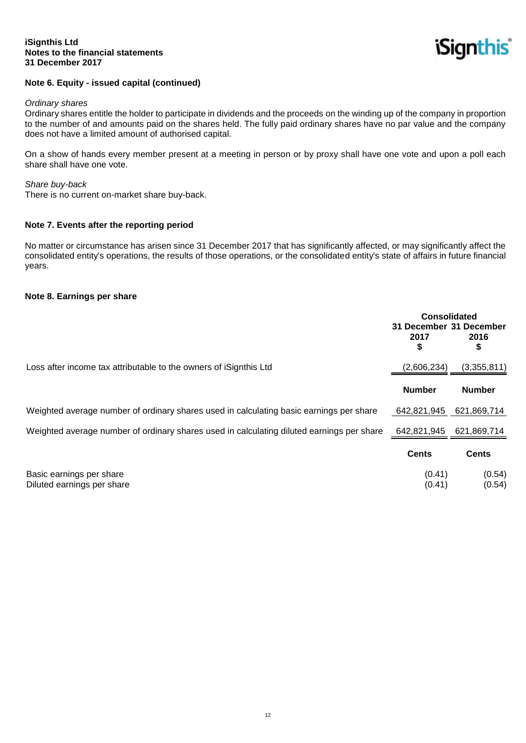*iSignthis* 

#### **Note 6. Equity - issued capital (continued)**

#### *Ordinary shares*

Ordinary shares entitle the holder to participate in dividends and the proceeds on the winding up of the company in proportion to the number of and amounts paid on the shares held. The fully paid ordinary shares have no par value and the company does not have a limited amount of authorised capital.

On a show of hands every member present at a meeting in person or by proxy shall have one vote and upon a poll each share shall have one vote.

#### *Share buy-back*

There is no current on-market share buy-back.

#### **Note 7. Events after the reporting period**

No matter or circumstance has arisen since 31 December 2017 that has significantly affected, or may significantly affect the consolidated entity's operations, the results of those operations, or the consolidated entity's state of affairs in future financial years.

#### **Note 8. Earnings per share**

|                                                                                           | Consolidated<br>31 December 31 December<br>2017<br>\$ | 2016<br>\$                   |
|-------------------------------------------------------------------------------------------|-------------------------------------------------------|------------------------------|
| Loss after income tax attributable to the owners of iSignthis Ltd                         | (2,606,234)<br><b>Number</b>                          | (3,355,811)<br><b>Number</b> |
|                                                                                           |                                                       |                              |
| Weighted average number of ordinary shares used in calculating basic earnings per share   | 642,821,945                                           | 621,869,714                  |
| Weighted average number of ordinary shares used in calculating diluted earnings per share | 642,821,945                                           | 621,869,714                  |
|                                                                                           | <b>Cents</b>                                          | <b>Cents</b>                 |
| Basic earnings per share<br>Diluted earnings per share                                    | (0.41)<br>(0.41)                                      | (0.54)<br>(0.54)             |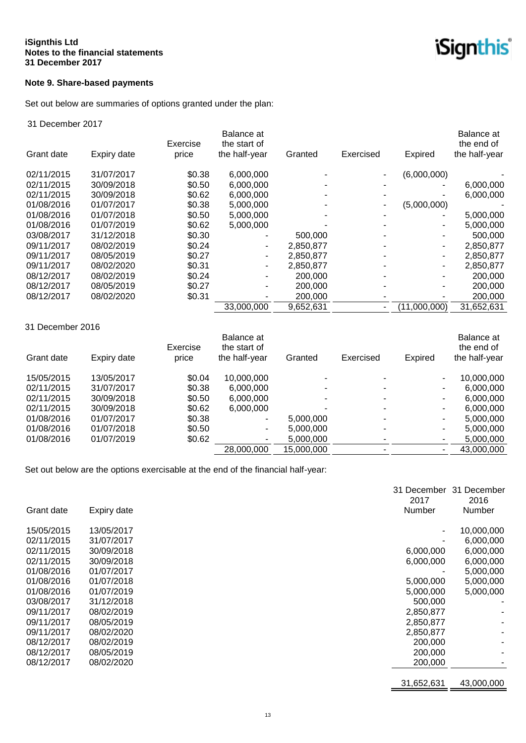# **Note 9. Share-based payments**

Set out below are summaries of options granted under the plan:

#### 31 December 2017

|            |             | Exercise | Balance at<br>the start of |           |           |              | Balance at<br>the end of |
|------------|-------------|----------|----------------------------|-----------|-----------|--------------|--------------------------|
| Grant date | Expiry date | price    | the half-year              | Granted   | Exercised | Expired      | the half-year            |
| 02/11/2015 | 31/07/2017  | \$0.38   | 6,000,000                  |           |           | (6,000,000)  |                          |
| 02/11/2015 | 30/09/2018  | \$0.50   | 6,000,000                  |           |           |              | 6,000,000                |
| 02/11/2015 | 30/09/2018  | \$0.62   | 6,000,000                  |           |           |              | 6,000,000                |
| 01/08/2016 | 01/07/2017  | \$0.38   | 5,000,000                  |           |           | (5,000,000)  |                          |
| 01/08/2016 | 01/07/2018  | \$0.50   | 5,000,000                  |           |           |              | 5,000,000                |
| 01/08/2016 | 01/07/2019  | \$0.62   | 5,000,000                  |           |           |              | 5,000,000                |
| 03/08/2017 | 31/12/2018  | \$0.30   |                            | 500,000   |           |              | 500,000                  |
| 09/11/2017 | 08/02/2019  | \$0.24   | ٠                          | 2,850,877 |           |              | 2,850,877                |
| 09/11/2017 | 08/05/2019  | \$0.27   | ۰                          | 2,850,877 |           |              | 2,850,877                |
| 09/11/2017 | 08/02/2020  | \$0.31   | ۰                          | 2,850,877 |           |              | 2,850,877                |
| 08/12/2017 | 08/02/2019  | \$0.24   |                            | 200,000   |           |              | 200,000                  |
| 08/12/2017 | 08/05/2019  | \$0.27   |                            | 200,000   |           |              | 200,000                  |
| 08/12/2017 | 08/02/2020  | \$0.31   | -                          | 200,000   |           |              | 200,000                  |
|            |             |          | 33,000,000                 | 9,652,631 |           | (11,000,000) | 31,652,631               |

#### 31 December 2016

| Grant date | Expiry date | Exercise<br>price | Balance at<br>the start of<br>the half-year | Granted    | Exercised | Expired | Balance at<br>the end of<br>the half-year |
|------------|-------------|-------------------|---------------------------------------------|------------|-----------|---------|-------------------------------------------|
| 15/05/2015 | 13/05/2017  | \$0.04            | 10,000,000                                  |            |           |         | 10,000,000                                |
| 02/11/2015 | 31/07/2017  | \$0.38            | 6,000,000                                   |            |           |         | 6,000,000                                 |
| 02/11/2015 | 30/09/2018  | \$0.50            | 6,000,000                                   |            |           |         | 6,000,000                                 |
| 02/11/2015 | 30/09/2018  | \$0.62            | 6,000,000                                   |            |           | ۰.      | 6.000.000                                 |
| 01/08/2016 | 01/07/2017  | \$0.38            | ۰                                           | 5,000,000  |           |         | 5.000.000                                 |
| 01/08/2016 | 01/07/2018  | \$0.50            | ٠                                           | 5,000,000  |           |         | 5,000,000                                 |
| 01/08/2016 | 01/07/2019  | \$0.62            | $\overline{\phantom{a}}$                    | 5,000,000  |           |         | 5,000,000                                 |
|            |             |                   | 28,000,000                                  | 15,000,000 |           |         | 43.000.000                                |

Set out below are the options exercisable at the end of the financial half-year:

| Grant date | Expiry date | 31 December<br>2017<br>Number | 31 December<br>2016<br><b>Number</b> |
|------------|-------------|-------------------------------|--------------------------------------|
| 15/05/2015 | 13/05/2017  |                               | 10,000,000                           |
| 02/11/2015 | 31/07/2017  |                               | 6,000,000                            |
| 02/11/2015 | 30/09/2018  | 6,000,000                     | 6,000,000                            |
| 02/11/2015 | 30/09/2018  | 6,000,000                     | 6,000,000                            |
| 01/08/2016 | 01/07/2017  |                               | 5,000,000                            |
| 01/08/2016 | 01/07/2018  | 5,000,000                     | 5,000,000                            |
| 01/08/2016 | 01/07/2019  | 5,000,000                     | 5,000,000                            |
| 03/08/2017 | 31/12/2018  | 500,000                       |                                      |
| 09/11/2017 | 08/02/2019  | 2,850,877                     |                                      |
| 09/11/2017 | 08/05/2019  | 2,850,877                     |                                      |
| 09/11/2017 | 08/02/2020  | 2,850,877                     |                                      |
| 08/12/2017 | 08/02/2019  | 200,000                       |                                      |
| 08/12/2017 | 08/05/2019  | 200,000                       |                                      |
| 08/12/2017 | 08/02/2020  | 200,000                       |                                      |
|            |             |                               |                                      |
|            |             | 31,652,631                    | 43,000,000                           |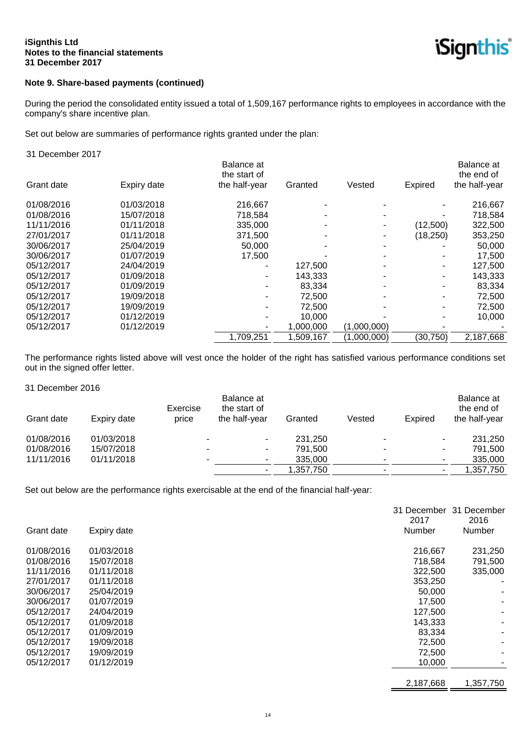

# **Note 9. Share-based payments (continued)**

During the period the consolidated entity issued a total of 1,509,167 performance rights to employees in accordance with the company's share incentive plan.

Set out below are summaries of performance rights granted under the plan:

#### 31 December 2017

|            |             | Balance at<br>the start of |           |             |           | Balance at<br>the end of |
|------------|-------------|----------------------------|-----------|-------------|-----------|--------------------------|
| Grant date | Expiry date | the half-year              | Granted   | Vested      | Expired   | the half-year            |
| 01/08/2016 | 01/03/2018  | 216,667                    |           |             |           | 216,667                  |
| 01/08/2016 | 15/07/2018  | 718.584                    |           |             |           | 718,584                  |
| 11/11/2016 | 01/11/2018  | 335,000                    |           |             | (12,500)  | 322,500                  |
| 27/01/2017 | 01/11/2018  | 371,500                    |           |             | (18,250)  | 353,250                  |
| 30/06/2017 | 25/04/2019  | 50,000                     |           |             |           | 50,000                   |
| 30/06/2017 | 01/07/2019  | 17.500                     |           |             |           | 17,500                   |
| 05/12/2017 | 24/04/2019  |                            | 127,500   |             |           | 127,500                  |
| 05/12/2017 | 01/09/2018  |                            | 143,333   |             |           | 143,333                  |
| 05/12/2017 | 01/09/2019  |                            | 83,334    |             |           | 83,334                   |
| 05/12/2017 | 19/09/2018  |                            | 72.500    |             |           | 72,500                   |
| 05/12/2017 | 19/09/2019  |                            | 72,500    |             |           | 72,500                   |
| 05/12/2017 | 01/12/2019  |                            | 10,000    |             |           | 10,000                   |
| 05/12/2017 | 01/12/2019  |                            | 1,000,000 | (1,000,000) |           |                          |
|            |             | 1,709,251                  | 1,509,167 | (1,000,000) | (30, 750) | 2,187,668                |

The performance rights listed above will vest once the holder of the right has satisfied various performance conditions set out in the signed offer letter.

31 December 2016

| Grant date | Expiry date | Exercise<br>price | Balance at<br>the start of<br>the half-year | Granted   | Vested | Expired                  | Balance at<br>the end of<br>the half-year |
|------------|-------------|-------------------|---------------------------------------------|-----------|--------|--------------------------|-------------------------------------------|
| 01/08/2016 | 01/03/2018  | ٠                 | -                                           | 231.250   |        |                          | 231,250                                   |
| 01/08/2016 | 15/07/2018  | $\blacksquare$    | ۰                                           | 791.500   |        | $\overline{\phantom{a}}$ | 791.500                                   |
| 11/11/2016 | 01/11/2018  | ۰                 | -                                           | 335,000   |        |                          | 335,000                                   |
|            |             |                   | -                                           | 1,357,750 |        |                          | 1,357,750                                 |

Set out below are the performance rights exercisable at the end of the financial half-year:

|            |             | 31 December | 31 December   |
|------------|-------------|-------------|---------------|
|            |             | 2017        | 2016          |
| Grant date | Expiry date | Number      | <b>Number</b> |
| 01/08/2016 | 01/03/2018  | 216,667     | 231,250       |
| 01/08/2016 | 15/07/2018  | 718,584     | 791,500       |
| 11/11/2016 | 01/11/2018  | 322,500     | 335,000       |
| 27/01/2017 | 01/11/2018  | 353,250     |               |
| 30/06/2017 | 25/04/2019  | 50,000      |               |
| 30/06/2017 | 01/07/2019  | 17,500      |               |
| 05/12/2017 | 24/04/2019  | 127,500     |               |
| 05/12/2017 | 01/09/2018  | 143,333     |               |
| 05/12/2017 | 01/09/2019  | 83,334      |               |
| 05/12/2017 | 19/09/2018  | 72,500      |               |
| 05/12/2017 | 19/09/2019  | 72,500      |               |
| 05/12/2017 | 01/12/2019  | 10,000      |               |
|            |             |             |               |
|            |             | 2,187,668   | 1,357,750     |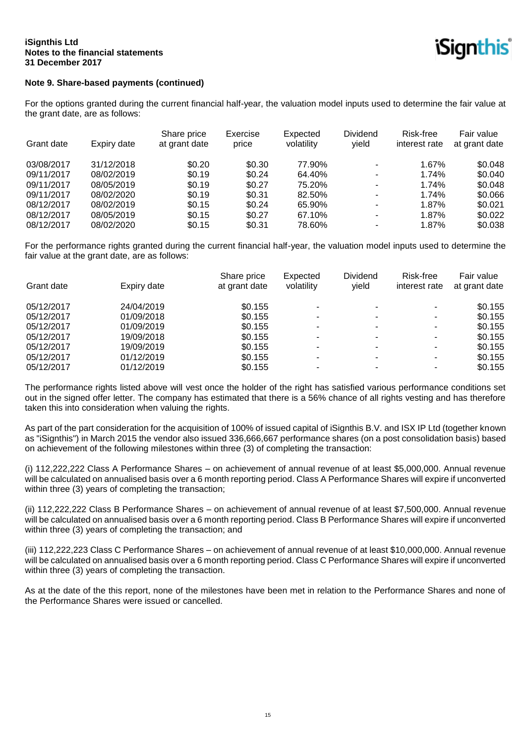

# **Note 9. Share-based payments (continued)**

For the options granted during the current financial half-year, the valuation model inputs used to determine the fair value at the grant date, are as follows:

|            |             | Share price   | Exercise | Expected   | <b>Dividend</b>          | Risk-free     | Fair value    |
|------------|-------------|---------------|----------|------------|--------------------------|---------------|---------------|
| Grant date | Expiry date | at grant date | price    | volatility | yield                    | interest rate | at grant date |
| 03/08/2017 | 31/12/2018  | \$0.20        | \$0.30   | 77.90%     | ۰                        | 1.67%         | \$0.048       |
| 09/11/2017 | 08/02/2019  | \$0.19        | \$0.24   | 64.40%     | $\overline{\phantom{0}}$ | 1.74%         | \$0.040       |
| 09/11/2017 | 08/05/2019  | \$0.19        | \$0.27   | 75.20%     | $\blacksquare$           | 1.74%         | \$0.048       |
| 09/11/2017 | 08/02/2020  | \$0.19        | \$0.31   | 82.50%     | ٠                        | 1.74%         | \$0.066       |
| 08/12/2017 | 08/02/2019  | \$0.15        | \$0.24   | 65.90%     |                          | 1.87%         | \$0.021       |
| 08/12/2017 | 08/05/2019  | \$0.15        | \$0.27   | 67.10%     | $\blacksquare$           | 1.87%         | \$0.022       |
| 08/12/2017 | 08/02/2020  | \$0.15        | \$0.31   | 78.60%     | ٠                        | 1.87%         | \$0.038       |

For the performance rights granted during the current financial half-year, the valuation model inputs used to determine the fair value at the grant date, are as follows:

| Grant date | Expiry date | Share price<br>at grant date | Expected<br>volatility | Dividend<br>vield | Risk-free<br>interest rate | Fair value<br>at grant date |
|------------|-------------|------------------------------|------------------------|-------------------|----------------------------|-----------------------------|
| 05/12/2017 | 24/04/2019  | \$0.155                      | ۰                      |                   | ۰.                         | \$0.155                     |
| 05/12/2017 | 01/09/2018  | \$0.155                      | -                      |                   |                            | \$0.155                     |
| 05/12/2017 | 01/09/2019  | \$0.155                      | $\blacksquare$         | ۰                 | ۰.                         | \$0.155                     |
| 05/12/2017 | 19/09/2018  | \$0.155                      | ۰                      |                   | -                          | \$0.155                     |
| 05/12/2017 | 19/09/2019  | \$0.155                      | -                      |                   | ۰.                         | \$0.155                     |
| 05/12/2017 | 01/12/2019  | \$0.155                      | ۰                      |                   | ۰.                         | \$0.155                     |
| 05/12/2017 | 01/12/2019  | \$0.155                      | -                      |                   |                            | \$0.155                     |

The performance rights listed above will vest once the holder of the right has satisfied various performance conditions set out in the signed offer letter. The company has estimated that there is a 56% chance of all rights vesting and has therefore taken this into consideration when valuing the rights.

As part of the part consideration for the acquisition of 100% of issued capital of iSignthis B.V. and ISX IP Ltd (together known as "iSignthis") in March 2015 the vendor also issued 336,666,667 performance shares (on a post consolidation basis) based on achievement of the following milestones within three (3) of completing the transaction:

(i) 112,222,222 Class A Performance Shares – on achievement of annual revenue of at least \$5,000,000. Annual revenue will be calculated on annualised basis over a 6 month reporting period. Class A Performance Shares will expire if unconverted within three (3) years of completing the transaction;

(ii) 112,222,222 Class B Performance Shares – on achievement of annual revenue of at least \$7,500,000. Annual revenue will be calculated on annualised basis over a 6 month reporting period. Class B Performance Shares will expire if unconverted within three (3) years of completing the transaction; and

(iii) 112,222,223 Class C Performance Shares – on achievement of annual revenue of at least \$10,000,000. Annual revenue will be calculated on annualised basis over a 6 month reporting period. Class C Performance Shares will expire if unconverted within three (3) years of completing the transaction.

As at the date of the this report, none of the milestones have been met in relation to the Performance Shares and none of the Performance Shares were issued or cancelled.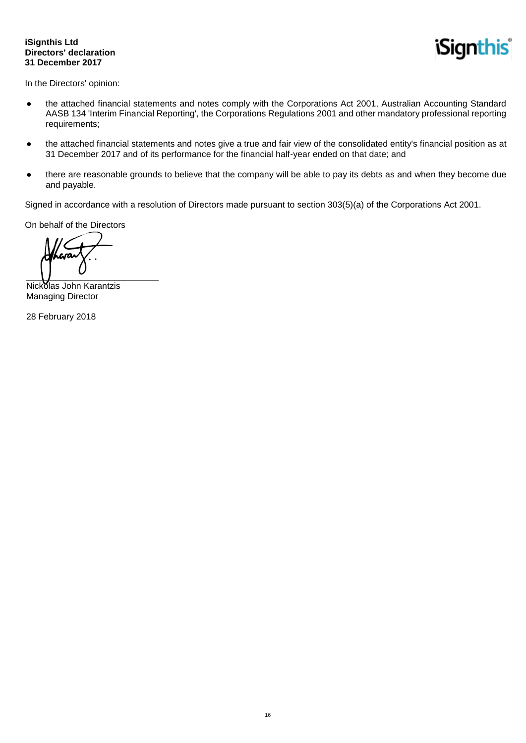#### **iSignthis Ltd Directors' declaration 31 December 2017**

*iSignthis* 

In the Directors' opinion:

- the attached financial statements and notes comply with the Corporations Act 2001, Australian Accounting Standard AASB 134 'Interim Financial Reporting', the Corporations Regulations 2001 and other mandatory professional reporting requirements;
- the attached financial statements and notes give a true and fair view of the consolidated entity's financial position as at 31 December 2017 and of its performance for the financial half-year ended on that date; and
- there are reasonable grounds to believe that the company will be able to pay its debts as and when they become due and payable.

Signed in accordance with a resolution of Directors made pursuant to section 303(5)(a) of the Corporations Act 2001.

On behalf of the Directors

 $\overline{\phantom{a}}$ 

Nickolas John Karantzis Managing Director

28 February 2018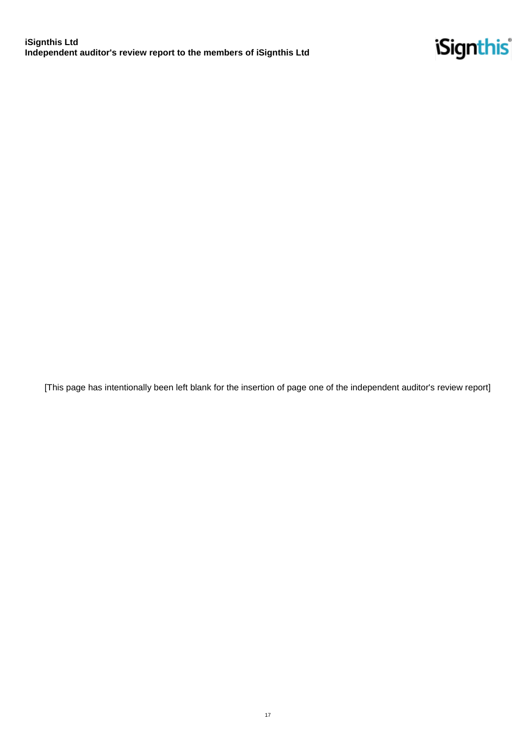

[This page has intentionally been left blank for the insertion of page one of the independent auditor's review report]